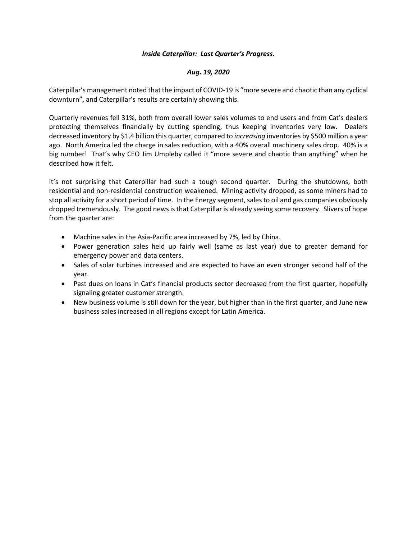## *Inside Caterpillar: Last Quarter's Progress.*

## *Aug. 19, 2020*

Caterpillar's management noted that the impact of COVID-19 is "more severe and chaotic than any cyclical downturn", and Caterpillar's results are certainly showing this.

Quarterly revenues fell 31%, both from overall lower sales volumes to end users and from Cat's dealers protecting themselves financially by cutting spending, thus keeping inventories very low. Dealers decreased inventory by \$1.4 billion this quarter, compared to *increasing* inventories by \$500 million a year ago. North America led the charge in sales reduction, with a 40% overall machinery sales drop. 40% is a big number! That's why CEO Jim Umpleby called it "more severe and chaotic than anything" when he described how it felt.

It's not surprising that Caterpillar had such a tough second quarter. During the shutdowns, both residential and non-residential construction weakened. Mining activity dropped, as some miners had to stop all activity for a short period of time. In the Energy segment, sales to oil and gas companies obviously dropped tremendously. The good news is that Caterpillar is already seeing some recovery. Slivers of hope from the quarter are:

- Machine sales in the Asia-Pacific area increased by 7%, led by China.
- Power generation sales held up fairly well (same as last year) due to greater demand for emergency power and data centers.
- Sales of solar turbines increased and are expected to have an even stronger second half of the year.
- Past dues on loans in Cat's financial products sector decreased from the first quarter, hopefully signaling greater customer strength.
- New business volume is still down for the year, but higher than in the first quarter, and June new business sales increased in all regions except for Latin America.